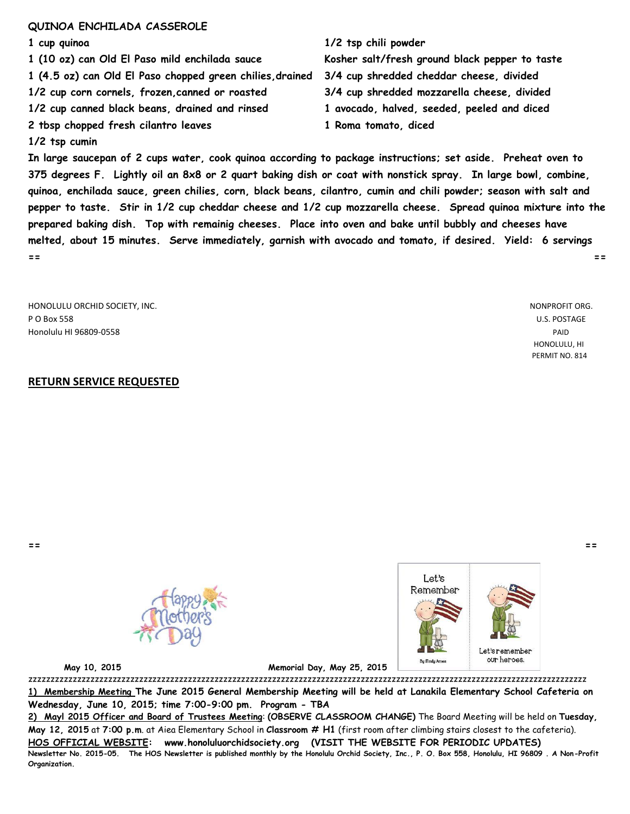#### **QUINOA ENCHILADA CASSEROLE**

- **1 cup quinoa 1/2 tsp chili powder 1 (10 oz) can Old El Paso mild enchilada sauce Kosher salt/fresh ground black pepper to taste 1 (4.5 oz) can Old El Paso chopped green chilies,drained 3/4 cup shredded cheddar cheese, divided 1/2 cup corn cornels, frozen,canned or roasted 3/4 cup shredded mozzarella cheese, divided 1/2 cup canned black beans, drained and rinsed 1 avocado, halved, seeded, peeled and diced 2 tbsp chopped fresh cilantro leaves 1 Roma tomato, diced 1/2 tsp cumin**
	-

**In large saucepan of 2 cups water, cook quinoa according to package instructions; set aside. Preheat oven to 375 degrees F. Lightly oil an 8x8 or 2 quart baking dish or coat with nonstick spray. In large bowl, combine, quinoa, enchilada sauce, green chilies, corn, black beans, cilantro, cumin and chili powder; season with salt and pepper to taste. Stir in 1/2 cup cheddar cheese and 1/2 cup mozzarella cheese. Spread quinoa mixture into the prepared baking dish. Top with remainig cheeses. Place into oven and bake until bubbly and cheeses have melted, about 15 minutes. Serve immediately, garnish with avocado and tomato, if desired. Yield: 6 servings == ==**

HONOLULU ORCHID SOCIETY, INC. NONPROFIT ORG. P O Box 558 U.S. POSTAGE Honolulu HI 96809-0558 PAID

### **RETURN SERVICE REQUESTED**

 HONOLULU, HI PERMIT NO. 814

**== ==**





 **May 10, 2015 Memorial Day, May 25, 2015** 

zzzzzzzzzzzzzzzzzzzzzzzzzzzzzzzzzzzzzzzzzzzzzzzzzzzzzzzzzzzzzzzzzzzzzzzzzzzzzzzzzzzzzzzzzzzzzzzzzzzzzzzzzzzzzzzzzzzzzzzzzzzzzz **1) Membership Meeting The June 2015 General Membership Meeting will be held at Lanakila Elementary School Cafeteria on Wednesday, June 10, 2015; time 7:00-9:00 pm. Program - TBA**

**2) Mayl 2015 Officer and Board of Trustees Meeting**: **(OBSERVE CLASSROOM CHANGE)** The Board Meeting will be held on **Tuesday, May 12, 2015** at **7:00 p.m**. at Aiea Elementary School in **Classroom # H1** (first room after climbing stairs closest to the cafeteria). **HOS OFFICIAL WEBSITE: www.honoluluorchidsociety.org (VISIT THE WEBSITE FOR PERIODIC UPDATES) Newsletter No. 2015-05. The HOS Newsletter is published monthly by the Honolulu Orchid Society, Inc., P. O. Box 558, Honolulu, HI 96809 . A Non-Profit Organization.**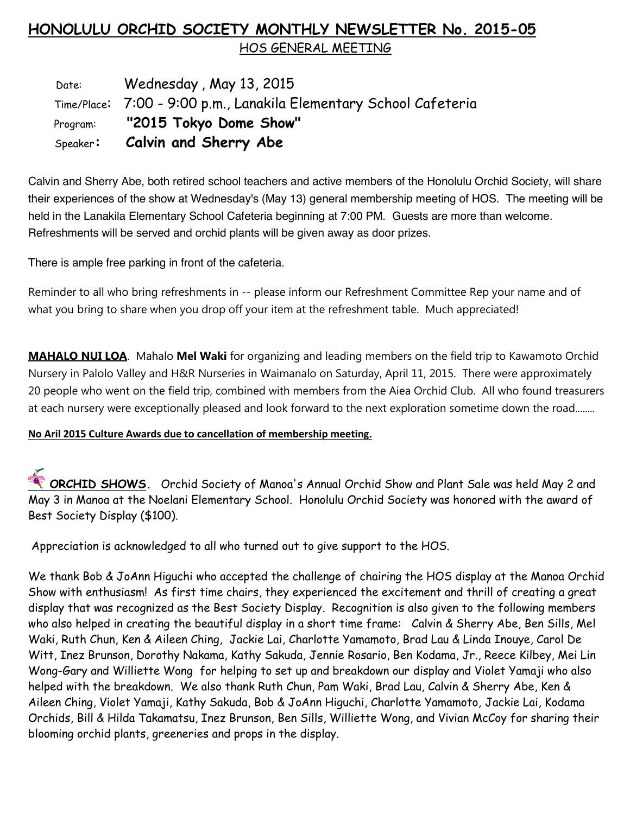# **HONOLULU ORCHID SOCIETY MONTHLY NEWSLETTER No. 2015-05** HOS GENERAL MEETING

Date: Wednesday, May 13, 2015 Time/Place: 7:00 - 9:00 p.m., Lanakila Elementary School Cafeteria Program: **"2015 Tokyo Dome Show"** Speaker**: Calvin and Sherry Abe** 

Calvin and Sherry Abe, both retired school teachers and active members of the Honolulu Orchid Society, will share their experiences of the show at Wednesday's (May 13) general membership meeting of HOS. The meeting will be held in the Lanakila Elementary School Cafeteria beginning at 7:00 PM. Guests are more than welcome. Refreshments will be served and orchid plants will be given away as door prizes.

There is ample free parking in front of the cafeteria.

Reminder to all who bring refreshments in -- please inform our Refreshment Committee Rep your name and of what you bring to share when you drop off your item at the refreshment table. Much appreciated!

**MAHALO NUI LOA**. Mahalo **Mel Waki** for organizing and leading members on the field trip to Kawamoto Orchid Nursery in Palolo Valley and H&R Nurseries in Waimanalo on Saturday, April 11, 2015. There were approximately 20 people who went on the field trip, combined with members from the Aiea Orchid Club. All who found treasurers at each nursery were exceptionally pleased and look forward to the next exploration sometime down the road........

## **No Aril 2015 Culture Awards due to cancellation of membership meeting.**

**ORCHID SHOWS.** Orchid Society of Manoa's Annual Orchid Show and Plant Sale was held May 2 and May 3 in Manoa at the Noelani Elementary School. Honolulu Orchid Society was honored with the award of Best Society Display (\$100).

Appreciation is acknowledged to all who turned out to give support to the HOS.

We thank Bob & JoAnn Higuchi who accepted the challenge of chairing the HOS display at the Manoa Orchid Show with enthusiasm! As first time chairs, they experienced the excitement and thrill of creating a great display that was recognized as the Best Society Display. Recognition is also given to the following members who also helped in creating the beautiful display in a short time frame: Calvin & Sherry Abe, Ben Sills, Mel Waki, Ruth Chun, Ken & Aileen Ching, Jackie Lai, Charlotte Yamamoto, Brad Lau & Linda Inouye, Carol De Witt, Inez Brunson, Dorothy Nakama, Kathy Sakuda, Jennie Rosario, Ben Kodama, Jr., Reece Kilbey, Mei Lin Wong-Gary and Williette Wong for helping to set up and breakdown our display and Violet Yamaji who also helped with the breakdown. We also thank Ruth Chun, Pam Waki, Brad Lau, Calvin & Sherry Abe, Ken & Aileen Ching, Violet Yamaji, Kathy Sakuda, Bob & JoAnn Higuchi, Charlotte Yamamoto, Jackie Lai, Kodama Orchids, Bill & Hilda Takamatsu, Inez Brunson, Ben Sills, Williette Wong, and Vivian McCoy for sharing their blooming orchid plants, greeneries and props in the display.